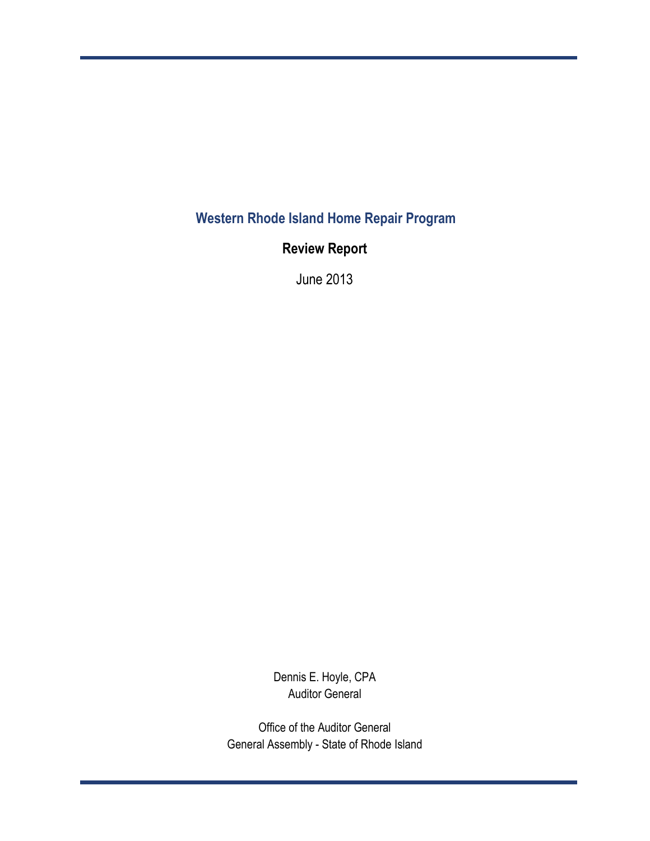**Western Rhode Island Home Repair Program**

**Review Report**

June 2013

Dennis E. Hoyle, CPA Auditor General

Office of the Auditor General General Assembly - State of Rhode Island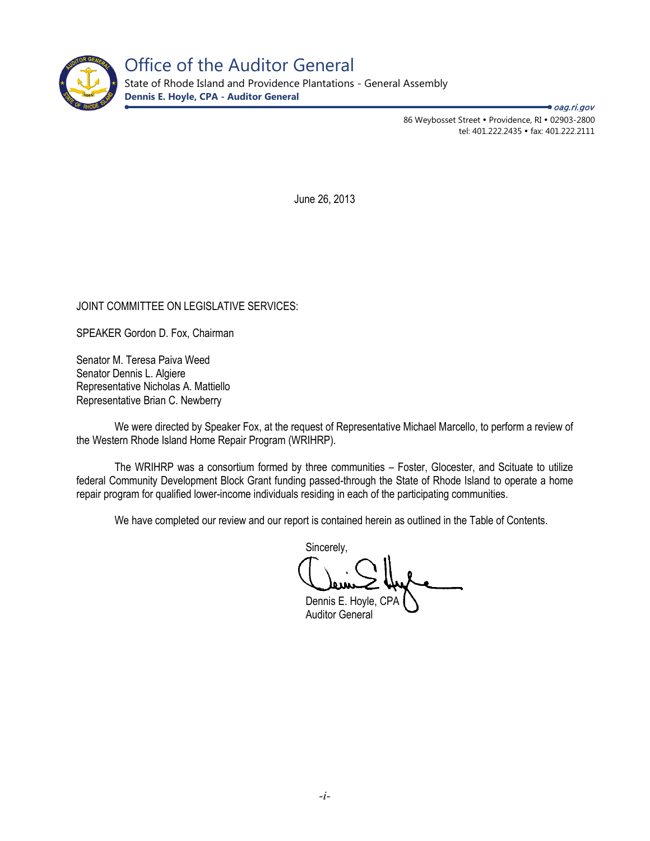

State of Rhode Island and Providence Plantations - General Assembly **Dennis E. Hoyle, CPA - Auditor General**

> 86 Weybosset Street • Providence, RI • 02903-2800 tel: 401.222.2435 · fax: 401.222.2111

**→** oag.ri.gov

June 26, 2013

# JOINT COMMITTEE ON LEGISLATIVE SERVICES:

SPEAKER Gordon D. Fox, Chairman

Senator M. Teresa Paiva Weed Senator Dennis L. Algiere Representative Nicholas A. Mattiello Representative Brian C. Newberry

We were directed by Speaker Fox, at the request of Representative Michael Marcello, to perform a review of the Western Rhode Island Home Repair Program (WRIHRP).

The WRIHRP was a consortium formed by three communities – Foster, Glocester, and Scituate to utilize federal Community Development Block Grant funding passed-through the State of Rhode Island to operate a home repair program for qualified lower-income individuals residing in each of the participating communities.

We have completed our review and our report is contained herein as outlined in the Table of Contents.

Sincerely,

Dennis E. Hoyle, CPA Auditor General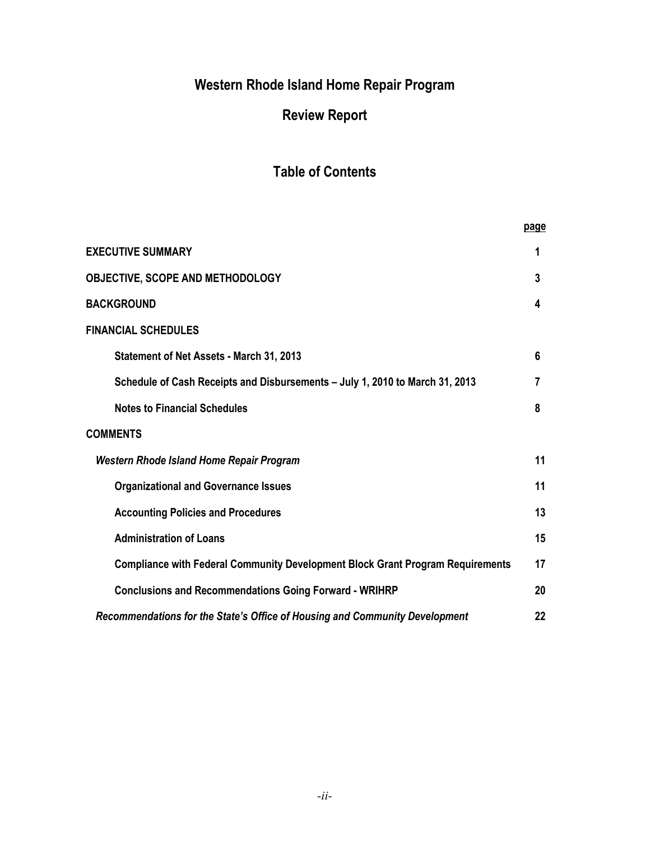# **Western Rhode Island Home Repair Program**

# **Review Report**

# **Table of Contents**

|                                                                                       | page |
|---------------------------------------------------------------------------------------|------|
| <b>EXECUTIVE SUMMARY</b>                                                              | 1    |
| OBJECTIVE, SCOPE AND METHODOLOGY                                                      | 3    |
| <b>BACKGROUND</b>                                                                     | 4    |
| <b>FINANCIAL SCHEDULES</b>                                                            |      |
| Statement of Net Assets - March 31, 2013                                              | 6    |
| Schedule of Cash Receipts and Disbursements - July 1, 2010 to March 31, 2013          | 7    |
| <b>Notes to Financial Schedules</b>                                                   | 8    |
| <b>COMMENTS</b>                                                                       |      |
| <b>Western Rhode Island Home Repair Program</b>                                       | 11   |
| <b>Organizational and Governance Issues</b>                                           | 11   |
| <b>Accounting Policies and Procedures</b>                                             | 13   |
| <b>Administration of Loans</b>                                                        | 15   |
| <b>Compliance with Federal Community Development Block Grant Program Requirements</b> | 17   |
| <b>Conclusions and Recommendations Going Forward - WRIHRP</b>                         | 20   |
| Recommendations for the State's Office of Housing and Community Development           | 22   |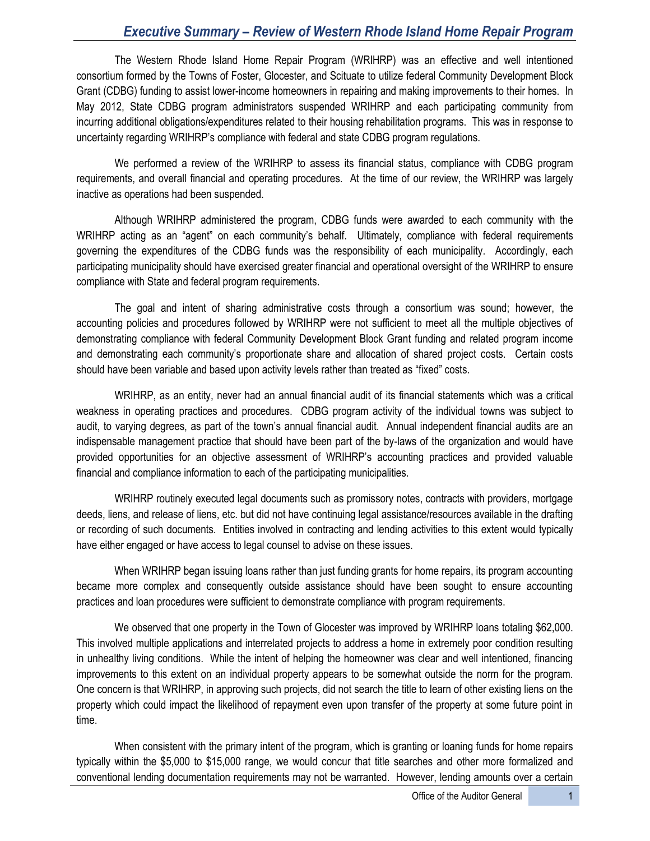# *Executive Summary – Review of Western Rhode Island Home Repair Program*

The Western Rhode Island Home Repair Program (WRIHRP) was an effective and well intentioned consortium formed by the Towns of Foster, Glocester, and Scituate to utilize federal Community Development Block Grant (CDBG) funding to assist lower-income homeowners in repairing and making improvements to their homes. In May 2012, State CDBG program administrators suspended WRIHRP and each participating community from incurring additional obligations/expenditures related to their housing rehabilitation programs. This was in response to uncertainty regarding WRIHRP's compliance with federal and state CDBG program regulations.

We performed a review of the WRIHRP to assess its financial status, compliance with CDBG program requirements, and overall financial and operating procedures. At the time of our review, the WRIHRP was largely inactive as operations had been suspended.

Although WRIHRP administered the program, CDBG funds were awarded to each community with the WRIHRP acting as an "agent" on each community's behalf. Ultimately, compliance with federal requirements governing the expenditures of the CDBG funds was the responsibility of each municipality. Accordingly, each participating municipality should have exercised greater financial and operational oversight of the WRIHRP to ensure compliance with State and federal program requirements.

The goal and intent of sharing administrative costs through a consortium was sound; however, the accounting policies and procedures followed by WRIHRP were not sufficient to meet all the multiple objectives of demonstrating compliance with federal Community Development Block Grant funding and related program income and demonstrating each community's proportionate share and allocation of shared project costs. Certain costs should have been variable and based upon activity levels rather than treated as "fixed" costs.

WRIHRP, as an entity, never had an annual financial audit of its financial statements which was a critical weakness in operating practices and procedures. CDBG program activity of the individual towns was subject to audit, to varying degrees, as part of the town's annual financial audit. Annual independent financial audits are an indispensable management practice that should have been part of the by-laws of the organization and would have provided opportunities for an objective assessment of WRIHRP's accounting practices and provided valuable financial and compliance information to each of the participating municipalities.

WRIHRP routinely executed legal documents such as promissory notes, contracts with providers, mortgage deeds, liens, and release of liens, etc. but did not have continuing legal assistance/resources available in the drafting or recording of such documents. Entities involved in contracting and lending activities to this extent would typically have either engaged or have access to legal counsel to advise on these issues.

When WRIHRP began issuing loans rather than just funding grants for home repairs, its program accounting became more complex and consequently outside assistance should have been sought to ensure accounting practices and loan procedures were sufficient to demonstrate compliance with program requirements.

We observed that one property in the Town of Glocester was improved by WRIHRP loans totaling \$62,000. This involved multiple applications and interrelated projects to address a home in extremely poor condition resulting in unhealthy living conditions. While the intent of helping the homeowner was clear and well intentioned, financing improvements to this extent on an individual property appears to be somewhat outside the norm for the program. One concern is that WRIHRP, in approving such projects, did not search the title to learn of other existing liens on the property which could impact the likelihood of repayment even upon transfer of the property at some future point in time.

When consistent with the primary intent of the program, which is granting or loaning funds for home repairs typically within the \$5,000 to \$15,000 range, we would concur that title searches and other more formalized and conventional lending documentation requirements may not be warranted. However, lending amounts over a certain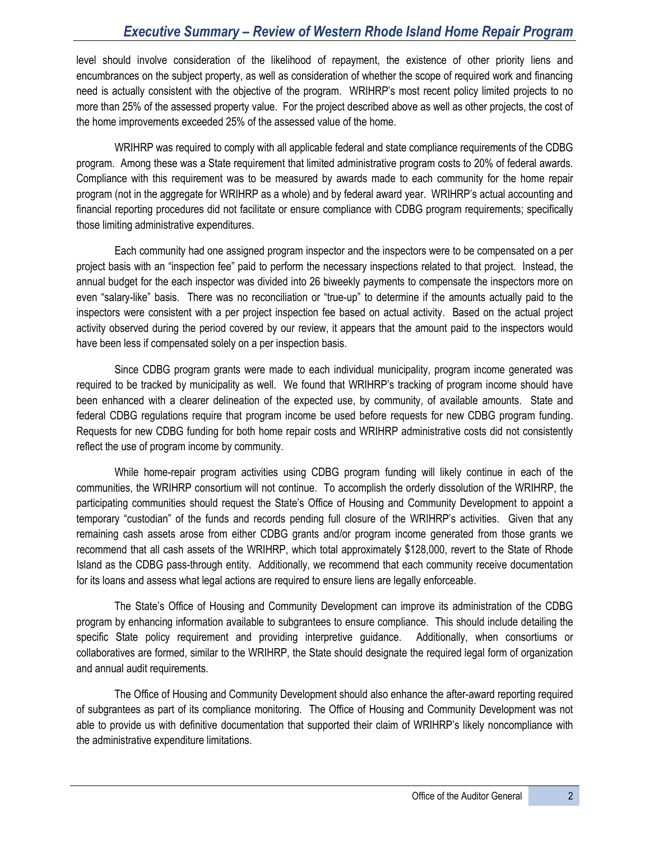# *Executive Summary – Review of Western Rhode Island Home Repair Program*

level should involve consideration of the likelihood of repayment, the existence of other priority liens and encumbrances on the subject property, as well as consideration of whether the scope of required work and financing need is actually consistent with the objective of the program. WRIHRP's most recent policy limited projects to no more than 25% of the assessed property value. For the project described above as well as other projects, the cost of the home improvements exceeded 25% of the assessed value of the home.

WRIHRP was required to comply with all applicable federal and state compliance requirements of the CDBG program. Among these was a State requirement that limited administrative program costs to 20% of federal awards. Compliance with this requirement was to be measured by awards made to each community for the home repair program (not in the aggregate for WRIHRP as a whole) and by federal award year. WRIHRP's actual accounting and financial reporting procedures did not facilitate or ensure compliance with CDBG program requirements; specifically those limiting administrative expenditures.

Each community had one assigned program inspector and the inspectors were to be compensated on a per project basis with an "inspection fee" paid to perform the necessary inspections related to that project. Instead, the annual budget for the each inspector was divided into 26 biweekly payments to compensate the inspectors more on even "salary-like" basis. There was no reconciliation or "true-up" to determine if the amounts actually paid to the inspectors were consistent with a per project inspection fee based on actual activity. Based on the actual project activity observed during the period covered by our review, it appears that the amount paid to the inspectors would have been less if compensated solely on a per inspection basis.

Since CDBG program grants were made to each individual municipality, program income generated was required to be tracked by municipality as well. We found that WRIHRP's tracking of program income should have been enhanced with a clearer delineation of the expected use, by community, of available amounts. State and federal CDBG regulations require that program income be used before requests for new CDBG program funding. Requests for new CDBG funding for both home repair costs and WRIHRP administrative costs did not consistently reflect the use of program income by community.

While home-repair program activities using CDBG program funding will likely continue in each of the communities, the WRIHRP consortium will not continue. To accomplish the orderly dissolution of the WRIHRP, the participating communities should request the State's Office of Housing and Community Development to appoint a temporary "custodian" of the funds and records pending full closure of the WRIHRP's activities. Given that any remaining cash assets arose from either CDBG grants and/or program income generated from those grants we recommend that all cash assets of the WRIHRP, which total approximately \$128,000, revert to the State of Rhode Island as the CDBG pass-through entity. Additionally, we recommend that each community receive documentation for its loans and assess what legal actions are required to ensure liens are legally enforceable.

The State's Office of Housing and Community Development can improve its administration of the CDBG program by enhancing information available to subgrantees to ensure compliance. This should include detailing the specific State policy requirement and providing interpretive guidance. Additionally, when consortiums or collaboratives are formed, similar to the WRIHRP, the State should designate the required legal form of organization and annual audit requirements.

The Office of Housing and Community Development should also enhance the after-award reporting required of subgrantees as part of its compliance monitoring. The Office of Housing and Community Development was not able to provide us with definitive documentation that supported their claim of WRIHRP's likely noncompliance with the administrative expenditure limitations.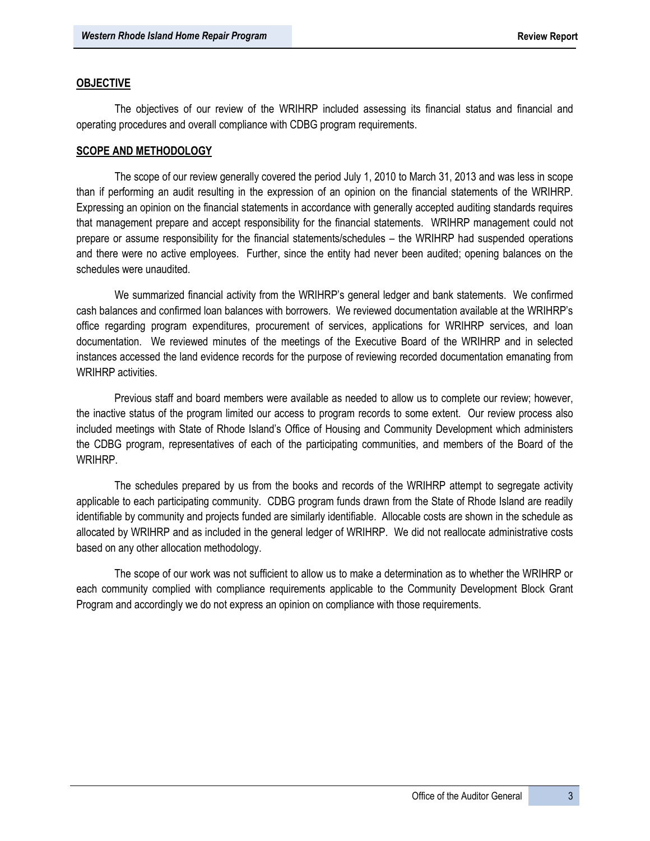#### **OBJECTIVE**

The objectives of our review of the WRIHRP included assessing its financial status and financial and operating procedures and overall compliance with CDBG program requirements.

#### **SCOPE AND METHODOLOGY**

The scope of our review generally covered the period July 1, 2010 to March 31, 2013 and was less in scope than if performing an audit resulting in the expression of an opinion on the financial statements of the WRIHRP. Expressing an opinion on the financial statements in accordance with generally accepted auditing standards requires that management prepare and accept responsibility for the financial statements. WRIHRP management could not prepare or assume responsibility for the financial statements/schedules – the WRIHRP had suspended operations and there were no active employees. Further, since the entity had never been audited; opening balances on the schedules were unaudited.

We summarized financial activity from the WRIHRP's general ledger and bank statements. We confirmed cash balances and confirmed loan balances with borrowers. We reviewed documentation available at the WRIHRP's office regarding program expenditures, procurement of services, applications for WRIHRP services, and loan documentation. We reviewed minutes of the meetings of the Executive Board of the WRIHRP and in selected instances accessed the land evidence records for the purpose of reviewing recorded documentation emanating from WRIHRP activities.

Previous staff and board members were available as needed to allow us to complete our review; however, the inactive status of the program limited our access to program records to some extent. Our review process also included meetings with State of Rhode Island's Office of Housing and Community Development which administers the CDBG program, representatives of each of the participating communities, and members of the Board of the WRIHRP.

The schedules prepared by us from the books and records of the WRIHRP attempt to segregate activity applicable to each participating community. CDBG program funds drawn from the State of Rhode Island are readily identifiable by community and projects funded are similarly identifiable. Allocable costs are shown in the schedule as allocated by WRIHRP and as included in the general ledger of WRIHRP. We did not reallocate administrative costs based on any other allocation methodology.

The scope of our work was not sufficient to allow us to make a determination as to whether the WRIHRP or each community complied with compliance requirements applicable to the Community Development Block Grant Program and accordingly we do not express an opinion on compliance with those requirements.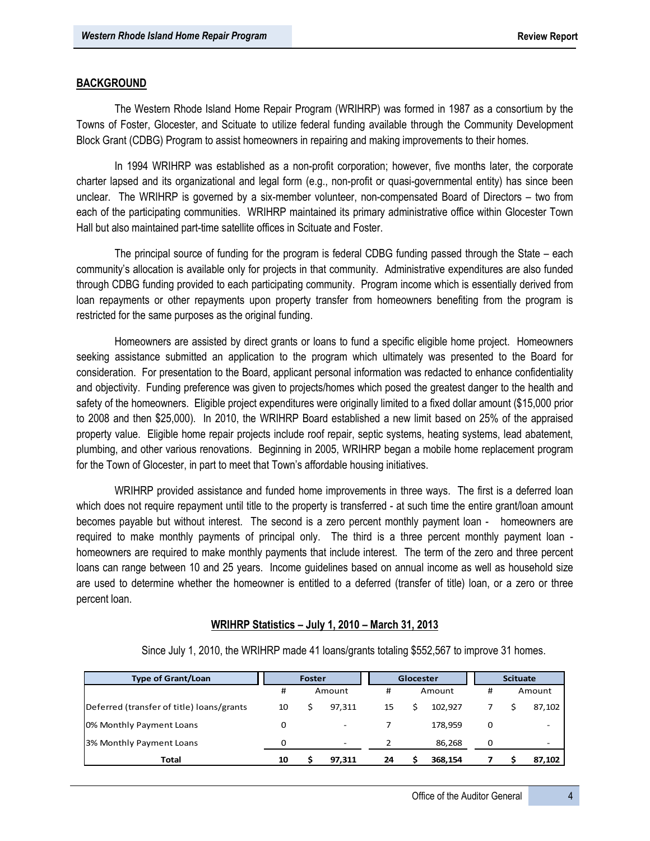#### **BACKGROUND**

The Western Rhode Island Home Repair Program (WRIHRP) was formed in 1987 as a consortium by the Towns of Foster, Glocester, and Scituate to utilize federal funding available through the Community Development Block Grant (CDBG) Program to assist homeowners in repairing and making improvements to their homes.

In 1994 WRIHRP was established as a non-profit corporation; however, five months later, the corporate charter lapsed and its organizational and legal form (e.g., non-profit or quasi-governmental entity) has since been unclear. The WRIHRP is governed by a six-member volunteer, non-compensated Board of Directors – two from each of the participating communities. WRIHRP maintained its primary administrative office within Glocester Town Hall but also maintained part-time satellite offices in Scituate and Foster.

The principal source of funding for the program is federal CDBG funding passed through the State – each community's allocation is available only for projects in that community. Administrative expenditures are also funded through CDBG funding provided to each participating community. Program income which is essentially derived from loan repayments or other repayments upon property transfer from homeowners benefiting from the program is restricted for the same purposes as the original funding.

Homeowners are assisted by direct grants or loans to fund a specific eligible home project. Homeowners seeking assistance submitted an application to the program which ultimately was presented to the Board for consideration. For presentation to the Board, applicant personal information was redacted to enhance confidentiality and objectivity. Funding preference was given to projects/homes which posed the greatest danger to the health and safety of the homeowners. Eligible project expenditures were originally limited to a fixed dollar amount (\$15,000 prior to 2008 and then \$25,000). In 2010, the WRIHRP Board established a new limit based on 25% of the appraised property value. Eligible home repair projects include roof repair, septic systems, heating systems, lead abatement, plumbing, and other various renovations. Beginning in 2005, WRIHRP began a mobile home replacement program for the Town of Glocester, in part to meet that Town's affordable housing initiatives.

WRIHRP provided assistance and funded home improvements in three ways. The first is a deferred loan which does not require repayment until title to the property is transferred - at such time the entire grant/loan amount becomes payable but without interest. The second is a zero percent monthly payment loan - homeowners are required to make monthly payments of principal only. The third is a three percent monthly payment loan homeowners are required to make monthly payments that include interest. The term of the zero and three percent loans can range between 10 and 25 years. Income guidelines based on annual income as well as household size are used to determine whether the homeowner is entitled to a deferred (transfer of title) loan, or a zero or three percent loan.

## **WRIHRP Statistics – July 1, 2010 – March 31, 2013**

| <b>Type of Grant/Loan</b>                 | Foster |        |                          | Glocester |  |         | <b>Scituate</b> |   |  |        |  |   |  |        |  |   |  |        |
|-------------------------------------------|--------|--------|--------------------------|-----------|--|---------|-----------------|---|--|--------|--|---|--|--------|--|---|--|--------|
|                                           | #      | Amount |                          |           |  |         |                 |   |  |        |  | # |  | Amount |  | # |  | Amount |
| Deferred (transfer of title) loans/grants | 10     |        | 97.311                   | 15        |  | 102.927 |                 |   |  | 87,102 |  |   |  |        |  |   |  |        |
| 0% Monthly Payment Loans                  | 0      |        | $\overline{\phantom{0}}$ |           |  | 178.959 |                 | 0 |  | -      |  |   |  |        |  |   |  |        |
| 3% Monthly Payment Loans                  | O      |        | $\overline{\phantom{a}}$ |           |  | 86,268  |                 | 0 |  |        |  |   |  |        |  |   |  |        |
| Total                                     | 10     |        | 97.311                   | 24        |  | 368.154 |                 |   |  | 87,102 |  |   |  |        |  |   |  |        |

Since July 1, 2010, the WRIHRP made 41 loans/grants totaling \$552,567 to improve 31 homes.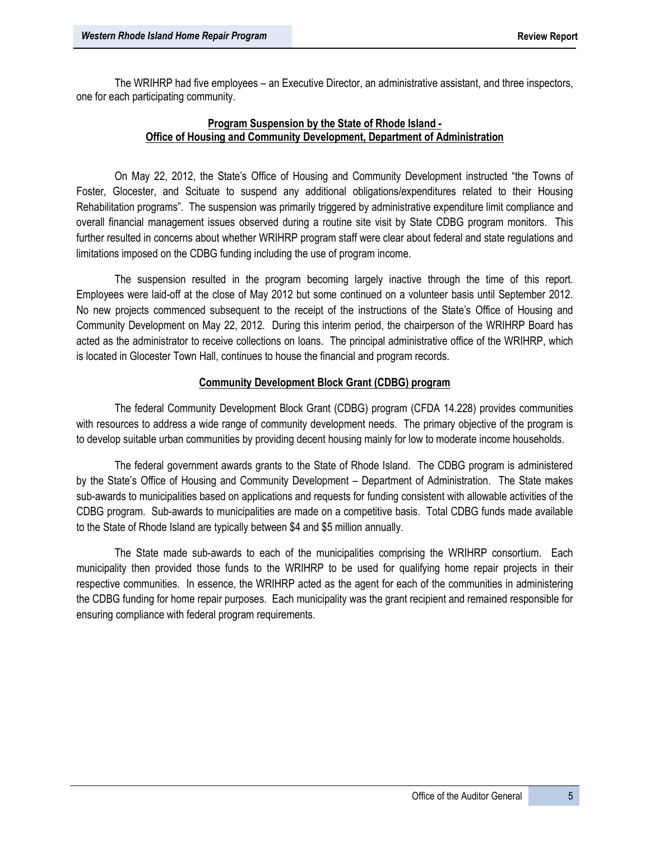The WRIHRP had five employees – an Executive Director, an administrative assistant, and three inspectors, one for each participating community.

# **Program Suspension by the State of Rhode Island - Office of Housing and Community Development, Department of Administration**

On May 22, 2012, the State's Office of Housing and Community Development instructed "the Towns of Foster, Glocester, and Scituate to suspend any additional obligations/expenditures related to their Housing Rehabilitation programs". The suspension was primarily triggered by administrative expenditure limit compliance and overall financial management issues observed during a routine site visit by State CDBG program monitors. This further resulted in concerns about whether WRIHRP program staff were clear about federal and state regulations and limitations imposed on the CDBG funding including the use of program income.

The suspension resulted in the program becoming largely inactive through the time of this report. Employees were laid-off at the close of May 2012 but some continued on a volunteer basis until September 2012. No new projects commenced subsequent to the receipt of the instructions of the State's Office of Housing and Community Development on May 22, 2012. During this interim period, the chairperson of the WRIHRP Board has acted as the administrator to receive collections on loans. The principal administrative office of the WRIHRP, which is located in Glocester Town Hall, continues to house the financial and program records.

# **Community Development Block Grant (CDBG) program**

The federal Community Development Block Grant (CDBG) program (CFDA 14.228) provides communities with resources to address a wide range of community development needs. The primary objective of the program is to develop suitable urban communities by providing decent housing mainly for low to moderate income households.

The federal government awards grants to the State of Rhode Island. The CDBG program is administered by the State's Office of Housing and Community Development – Department of Administration. The State makes sub-awards to municipalities based on applications and requests for funding consistent with allowable activities of the CDBG program. Sub-awards to municipalities are made on a competitive basis. Total CDBG funds made available to the State of Rhode Island are typically between \$4 and \$5 million annually.

The State made sub-awards to each of the municipalities comprising the WRIHRP consortium. Each municipality then provided those funds to the WRIHRP to be used for qualifying home repair projects in their respective communities. In essence, the WRIHRP acted as the agent for each of the communities in administering the CDBG funding for home repair purposes. Each municipality was the grant recipient and remained responsible for ensuring compliance with federal program requirements.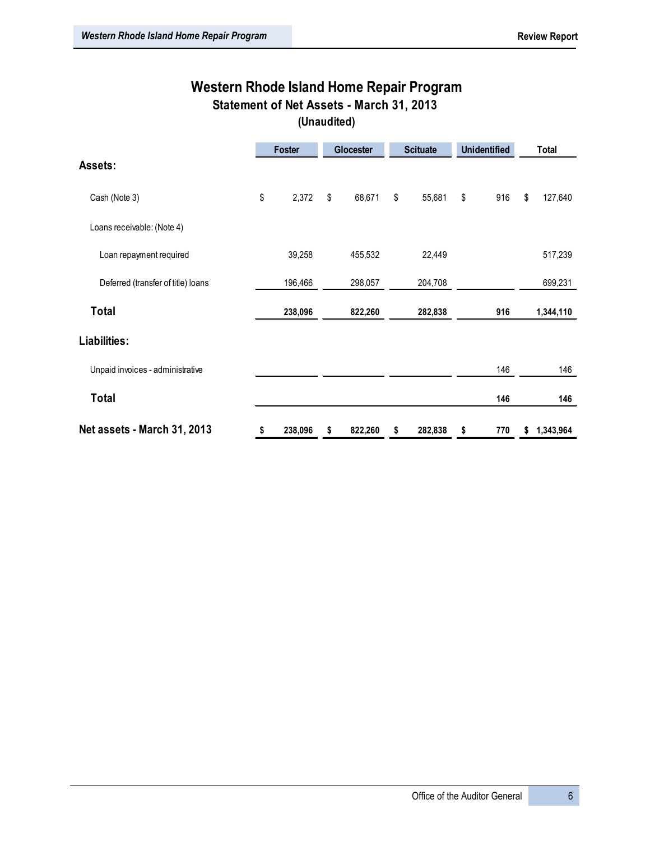# **Western Rhode Island Home Repair Program Statement of Net Assets - March 31, 2013**

**(Unaudited)**

|                                    | <b>Foster</b> | Glocester |         | <b>Scituate</b> | <b>Unidentified</b> | Total |           |  |
|------------------------------------|---------------|-----------|---------|-----------------|---------------------|-------|-----------|--|
| Assets:                            |               |           |         |                 |                     |       |           |  |
| Cash (Note 3)                      | \$<br>2,372   | \$        | 68,671  | \$<br>55,681    | \$<br>916           | \$    | 127,640   |  |
| Loans receivable: (Note 4)         |               |           |         |                 |                     |       |           |  |
| Loan repayment required            | 39,258        |           | 455,532 | 22,449          |                     |       | 517,239   |  |
| Deferred (transfer of title) loans | 196,466       |           | 298,057 | 204,708         |                     |       | 699,231   |  |
| <b>Total</b>                       | 238,096       |           | 822,260 | 282,838         | 916                 |       | 1,344,110 |  |
| Liabilities:                       |               |           |         |                 |                     |       |           |  |
| Unpaid invoices - administrative   |               |           |         |                 | 146                 |       | 146       |  |
| Total                              |               |           |         |                 | 146                 |       | 146       |  |
| Net assets - March 31, 2013        | \$<br>238,096 | \$        | 822,260 | \$<br>282,838   | \$<br>770           | \$    | 1,343,964 |  |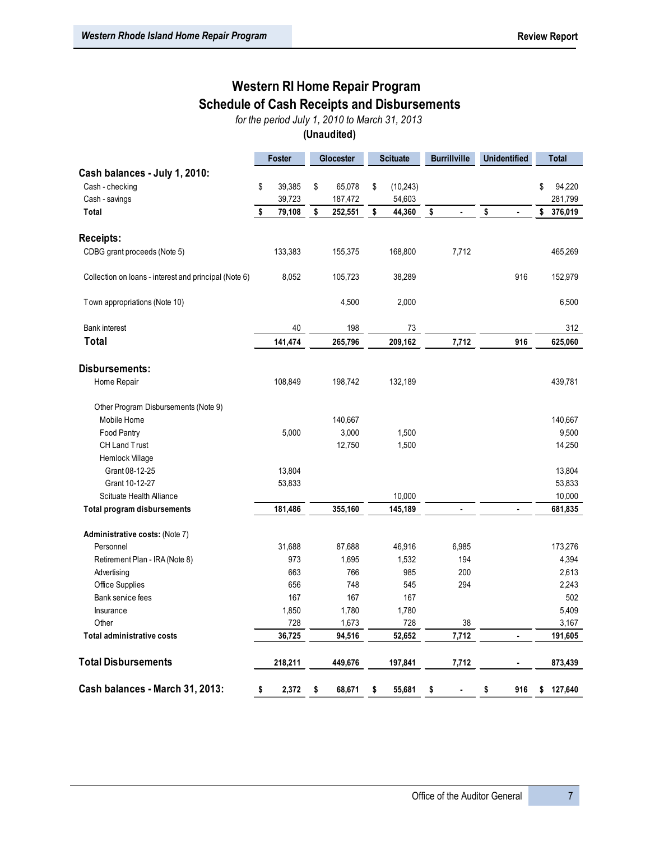# **Western RI Home Repair Program**

**Schedule of Cash Receipts and Disbursements**

*for the period July 1, 2010 to March 31, 2013*

**(Unaudited)**

|                                                       | <b>Foster</b> | Glocester     | <b>Scituate</b> |           | <b>Burrillville</b> |                | <b>Unidentified</b> |                | <b>Total</b> |         |
|-------------------------------------------------------|---------------|---------------|-----------------|-----------|---------------------|----------------|---------------------|----------------|--------------|---------|
| Cash balances - July 1, 2010:                         |               |               |                 |           |                     |                |                     |                |              |         |
| Cash - checking                                       | \$<br>39,385  | \$<br>65,078  | \$              | (10, 243) |                     |                |                     |                | \$           | 94,220  |
| Cash - savings                                        | 39,723        | 187,472       |                 | 54,603    |                     |                |                     |                |              | 281,799 |
| Total                                                 | \$<br>79,108  | \$<br>252,551 | \$              | 44,360    | \$                  | $\blacksquare$ | \$                  | $\blacksquare$ | \$           | 376,019 |
| <b>Receipts:</b>                                      |               |               |                 |           |                     |                |                     |                |              |         |
| CDBG grant proceeds (Note 5)                          | 133,383       | 155,375       |                 | 168,800   |                     | 7,712          |                     |                |              | 465,269 |
| Collection on loans - interest and principal (Note 6) | 8,052         | 105,723       |                 | 38,289    |                     |                |                     | 916            |              | 152,979 |
| Town appropriations (Note 10)                         |               | 4,500         |                 | 2,000     |                     |                |                     |                |              | 6,500   |
| <b>Bank interest</b>                                  | 40            | 198           |                 | 73        |                     |                |                     |                |              | 312     |
| Total                                                 | 141,474       | 265,796       |                 | 209,162   |                     | 7,712          |                     | 916            |              | 625,060 |
| <b>Disbursements:</b>                                 |               |               |                 |           |                     |                |                     |                |              |         |
| Home Repair                                           | 108,849       | 198,742       |                 | 132,189   |                     |                |                     |                |              | 439,781 |
| Other Program Disbursements (Note 9)                  |               |               |                 |           |                     |                |                     |                |              |         |
| Mobile Home                                           |               | 140,667       |                 |           |                     |                |                     |                |              | 140,667 |
| Food Pantry                                           | 5,000         | 3,000         |                 | 1,500     |                     |                |                     |                |              | 9,500   |
| <b>CH Land Trust</b>                                  |               | 12,750        |                 | 1,500     |                     |                |                     |                |              | 14,250  |
| Hemlock Village                                       |               |               |                 |           |                     |                |                     |                |              |         |
| Grant 08-12-25                                        | 13,804        |               |                 |           |                     |                |                     |                |              | 13,804  |
| Grant 10-12-27                                        | 53,833        |               |                 |           |                     |                |                     |                |              | 53,833  |
| Scituate Health Alliance                              |               |               |                 | 10,000    |                     |                |                     |                |              | 10,000  |
| <b>Total program disbursements</b>                    | 181,486       | 355,160       |                 | 145,189   |                     |                |                     |                |              | 681,835 |
| Administrative costs: (Note 7)                        |               |               |                 |           |                     |                |                     |                |              |         |
| Personnel                                             | 31,688        | 87,688        |                 | 46,916    |                     | 6,985          |                     |                |              | 173,276 |
| Retirement Plan - IRA (Note 8)                        | 973           | 1,695         |                 | 1,532     |                     | 194            |                     |                |              | 4,394   |
| Advertising                                           | 663           | 766           |                 | 985       |                     | 200            |                     |                |              | 2,613   |
| Office Supplies                                       | 656           | 748           |                 | 545       |                     | 294            |                     |                |              | 2,243   |
| Bank service fees                                     | 167           | 167           |                 | 167       |                     |                |                     |                |              | 502     |
| Insurance                                             | 1,850         | 1,780         |                 | 1,780     |                     |                |                     |                |              | 5,409   |
| Other                                                 | 728           | 1,673         |                 | 728       |                     | 38             |                     |                |              | 3,167   |
| <b>Total administrative costs</b>                     | 36,725        | 94,516        |                 | 52,652    |                     | 7,712          |                     | $\blacksquare$ |              | 191,605 |
| <b>Total Disbursements</b>                            | 218,211       | 449,676       |                 | 197,841   |                     | 7,712          |                     |                |              | 873,439 |
| Cash balances - March 31, 2013:                       | \$<br>2,372   | \$<br>68,671  | \$              | 55,681    | \$                  | $\blacksquare$ | \$                  | 916            | \$           | 127,640 |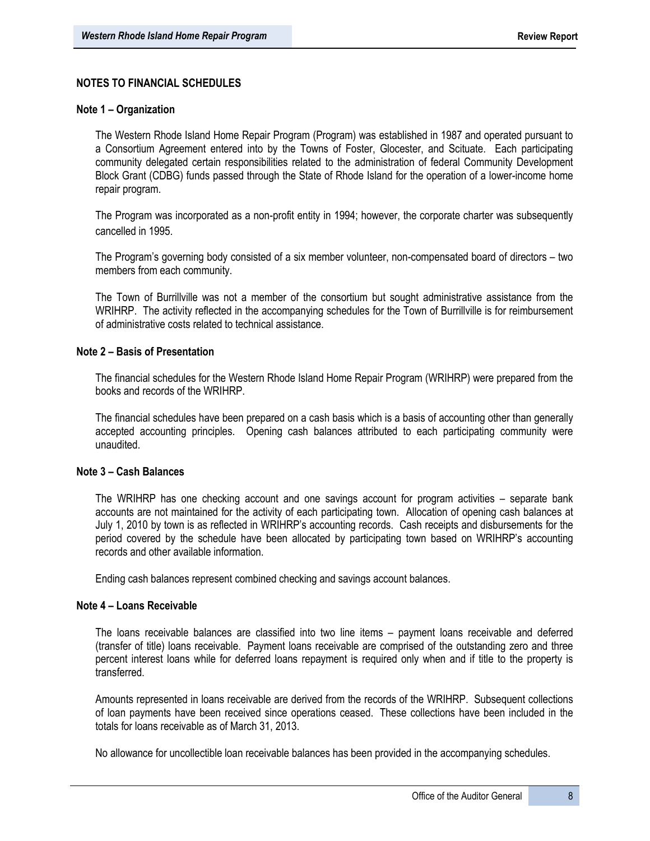# **NOTES TO FINANCIAL SCHEDULES**

#### **Note 1 – Organization**

The Western Rhode Island Home Repair Program (Program) was established in 1987 and operated pursuant to a Consortium Agreement entered into by the Towns of Foster, Glocester, and Scituate. Each participating community delegated certain responsibilities related to the administration of federal Community Development Block Grant (CDBG) funds passed through the State of Rhode Island for the operation of a lower-income home repair program.

The Program was incorporated as a non-profit entity in 1994; however, the corporate charter was subsequently cancelled in 1995.

The Program's governing body consisted of a six member volunteer, non-compensated board of directors – two members from each community.

The Town of Burrillville was not a member of the consortium but sought administrative assistance from the WRIHRP. The activity reflected in the accompanying schedules for the Town of Burrillville is for reimbursement of administrative costs related to technical assistance.

#### **Note 2 – Basis of Presentation**

The financial schedules for the Western Rhode Island Home Repair Program (WRIHRP) were prepared from the books and records of the WRIHRP.

The financial schedules have been prepared on a cash basis which is a basis of accounting other than generally accepted accounting principles. Opening cash balances attributed to each participating community were unaudited.

#### **Note 3 – Cash Balances**

The WRIHRP has one checking account and one savings account for program activities – separate bank accounts are not maintained for the activity of each participating town. Allocation of opening cash balances at July 1, 2010 by town is as reflected in WRIHRP's accounting records. Cash receipts and disbursements for the period covered by the schedule have been allocated by participating town based on WRIHRP's accounting records and other available information.

Ending cash balances represent combined checking and savings account balances.

#### **Note 4 – Loans Receivable**

The loans receivable balances are classified into two line items – payment loans receivable and deferred (transfer of title) loans receivable. Payment loans receivable are comprised of the outstanding zero and three percent interest loans while for deferred loans repayment is required only when and if title to the property is transferred.

Amounts represented in loans receivable are derived from the records of the WRIHRP. Subsequent collections of loan payments have been received since operations ceased. These collections have been included in the totals for loans receivable as of March 31, 2013.

No allowance for uncollectible loan receivable balances has been provided in the accompanying schedules.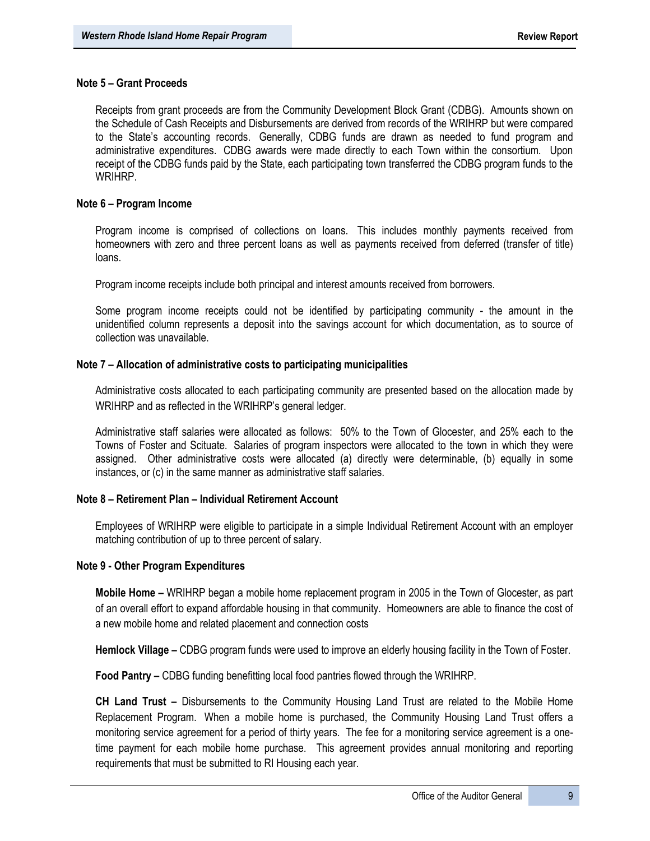#### **Note 5 – Grant Proceeds**

Receipts from grant proceeds are from the Community Development Block Grant (CDBG). Amounts shown on the Schedule of Cash Receipts and Disbursements are derived from records of the WRIHRP but were compared to the State's accounting records. Generally, CDBG funds are drawn as needed to fund program and administrative expenditures. CDBG awards were made directly to each Town within the consortium. Upon receipt of the CDBG funds paid by the State, each participating town transferred the CDBG program funds to the WRIHRP.

#### **Note 6 – Program Income**

Program income is comprised of collections on loans. This includes monthly payments received from homeowners with zero and three percent loans as well as payments received from deferred (transfer of title) loans.

Program income receipts include both principal and interest amounts received from borrowers.

Some program income receipts could not be identified by participating community - the amount in the unidentified column represents a deposit into the savings account for which documentation, as to source of collection was unavailable.

#### **Note 7 – Allocation of administrative costs to participating municipalities**

Administrative costs allocated to each participating community are presented based on the allocation made by WRIHRP and as reflected in the WRIHRP's general ledger.

Administrative staff salaries were allocated as follows: 50% to the Town of Glocester, and 25% each to the Towns of Foster and Scituate. Salaries of program inspectors were allocated to the town in which they were assigned. Other administrative costs were allocated (a) directly were determinable, (b) equally in some instances, or (c) in the same manner as administrative staff salaries.

#### **Note 8 – Retirement Plan – Individual Retirement Account**

Employees of WRIHRP were eligible to participate in a simple Individual Retirement Account with an employer matching contribution of up to three percent of salary.

#### **Note 9 - Other Program Expenditures**

**Mobile Home –** WRIHRP began a mobile home replacement program in 2005 in the Town of Glocester, as part of an overall effort to expand affordable housing in that community. Homeowners are able to finance the cost of a new mobile home and related placement and connection costs

**Hemlock Village –** CDBG program funds were used to improve an elderly housing facility in the Town of Foster.

**Food Pantry –** CDBG funding benefitting local food pantries flowed through the WRIHRP.

**CH Land Trust –** Disbursements to the Community Housing Land Trust are related to the Mobile Home Replacement Program. When a mobile home is purchased, the Community Housing Land Trust offers a monitoring service agreement for a period of thirty years. The fee for a monitoring service agreement is a onetime payment for each mobile home purchase. This agreement provides annual monitoring and reporting requirements that must be submitted to RI Housing each year.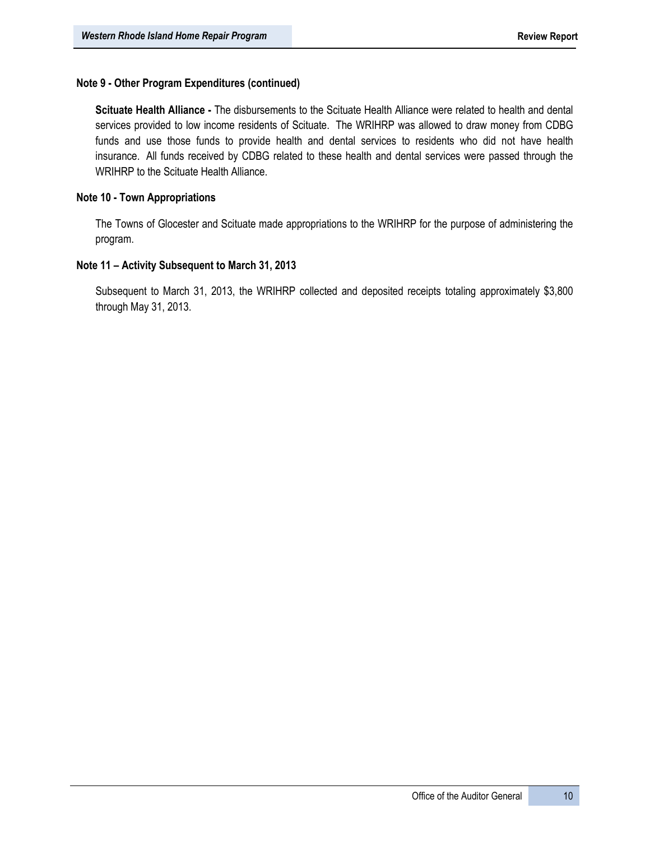# **Note 9 - Other Program Expenditures (continued)**

**Scituate Health Alliance -** The disbursements to the Scituate Health Alliance were related to health and dental services provided to low income residents of Scituate. The WRIHRP was allowed to draw money from CDBG funds and use those funds to provide health and dental services to residents who did not have health insurance. All funds received by CDBG related to these health and dental services were passed through the WRIHRP to the Scituate Health Alliance.

## **Note 10 - Town Appropriations**

The Towns of Glocester and Scituate made appropriations to the WRIHRP for the purpose of administering the program.

# **Note 11 – Activity Subsequent to March 31, 2013**

Subsequent to March 31, 2013, the WRIHRP collected and deposited receipts totaling approximately \$3,800 through May 31, 2013.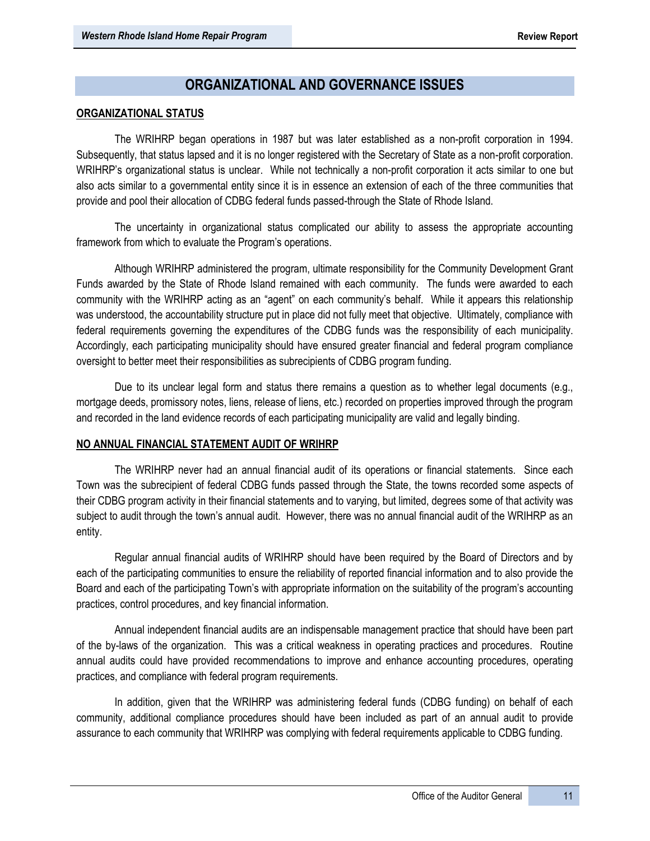# **ORGANIZATIONAL AND GOVERNANCE ISSUES**

#### **ORGANIZATIONAL STATUS**

The WRIHRP began operations in 1987 but was later established as a non-profit corporation in 1994. Subsequently, that status lapsed and it is no longer registered with the Secretary of State as a non-profit corporation. WRIHRP's organizational status is unclear. While not technically a non-profit corporation it acts similar to one but also acts similar to a governmental entity since it is in essence an extension of each of the three communities that provide and pool their allocation of CDBG federal funds passed-through the State of Rhode Island.

The uncertainty in organizational status complicated our ability to assess the appropriate accounting framework from which to evaluate the Program's operations.

Although WRIHRP administered the program, ultimate responsibility for the Community Development Grant Funds awarded by the State of Rhode Island remained with each community. The funds were awarded to each community with the WRIHRP acting as an "agent" on each community's behalf. While it appears this relationship was understood, the accountability structure put in place did not fully meet that objective. Ultimately, compliance with federal requirements governing the expenditures of the CDBG funds was the responsibility of each municipality. Accordingly, each participating municipality should have ensured greater financial and federal program compliance oversight to better meet their responsibilities as subrecipients of CDBG program funding.

Due to its unclear legal form and status there remains a question as to whether legal documents (e.g., mortgage deeds, promissory notes, liens, release of liens, etc.) recorded on properties improved through the program and recorded in the land evidence records of each participating municipality are valid and legally binding.

#### **NO ANNUAL FINANCIAL STATEMENT AUDIT OF WRIHRP**

The WRIHRP never had an annual financial audit of its operations or financial statements. Since each Town was the subrecipient of federal CDBG funds passed through the State, the towns recorded some aspects of their CDBG program activity in their financial statements and to varying, but limited, degrees some of that activity was subject to audit through the town's annual audit. However, there was no annual financial audit of the WRIHRP as an entity.

Regular annual financial audits of WRIHRP should have been required by the Board of Directors and by each of the participating communities to ensure the reliability of reported financial information and to also provide the Board and each of the participating Town's with appropriate information on the suitability of the program's accounting practices, control procedures, and key financial information.

Annual independent financial audits are an indispensable management practice that should have been part of the by-laws of the organization. This was a critical weakness in operating practices and procedures. Routine annual audits could have provided recommendations to improve and enhance accounting procedures, operating practices, and compliance with federal program requirements.

In addition, given that the WRIHRP was administering federal funds (CDBG funding) on behalf of each community, additional compliance procedures should have been included as part of an annual audit to provide assurance to each community that WRIHRP was complying with federal requirements applicable to CDBG funding.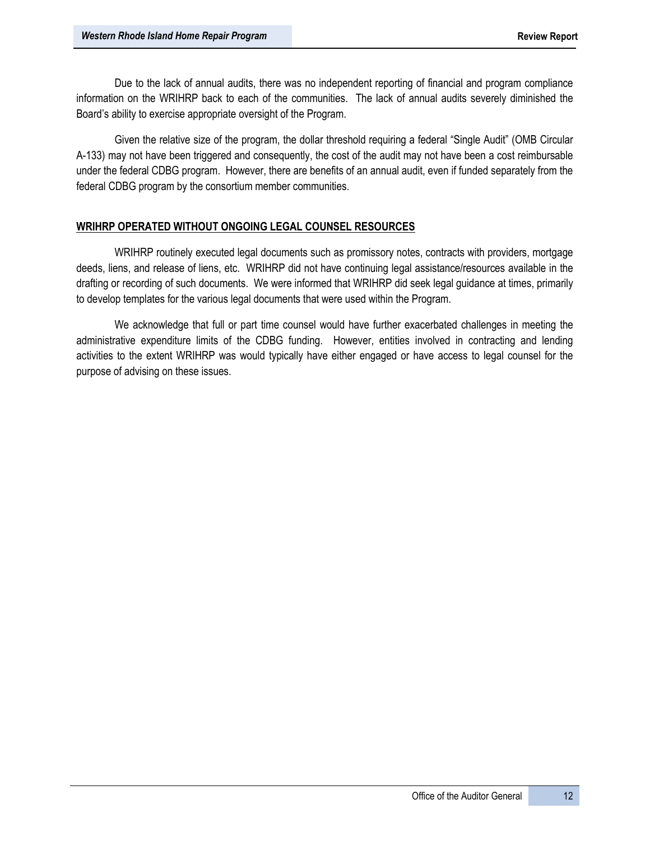Due to the lack of annual audits, there was no independent reporting of financial and program compliance information on the WRIHRP back to each of the communities. The lack of annual audits severely diminished the Board's ability to exercise appropriate oversight of the Program.

Given the relative size of the program, the dollar threshold requiring a federal "Single Audit" (OMB Circular A-133) may not have been triggered and consequently, the cost of the audit may not have been a cost reimbursable under the federal CDBG program. However, there are benefits of an annual audit, even if funded separately from the federal CDBG program by the consortium member communities.

## **WRIHRP OPERATED WITHOUT ONGOING LEGAL COUNSEL RESOURCES**

WRIHRP routinely executed legal documents such as promissory notes, contracts with providers, mortgage deeds, liens, and release of liens, etc. WRIHRP did not have continuing legal assistance/resources available in the drafting or recording of such documents. We were informed that WRIHRP did seek legal guidance at times, primarily to develop templates for the various legal documents that were used within the Program.

We acknowledge that full or part time counsel would have further exacerbated challenges in meeting the administrative expenditure limits of the CDBG funding. However, entities involved in contracting and lending activities to the extent WRIHRP was would typically have either engaged or have access to legal counsel for the purpose of advising on these issues.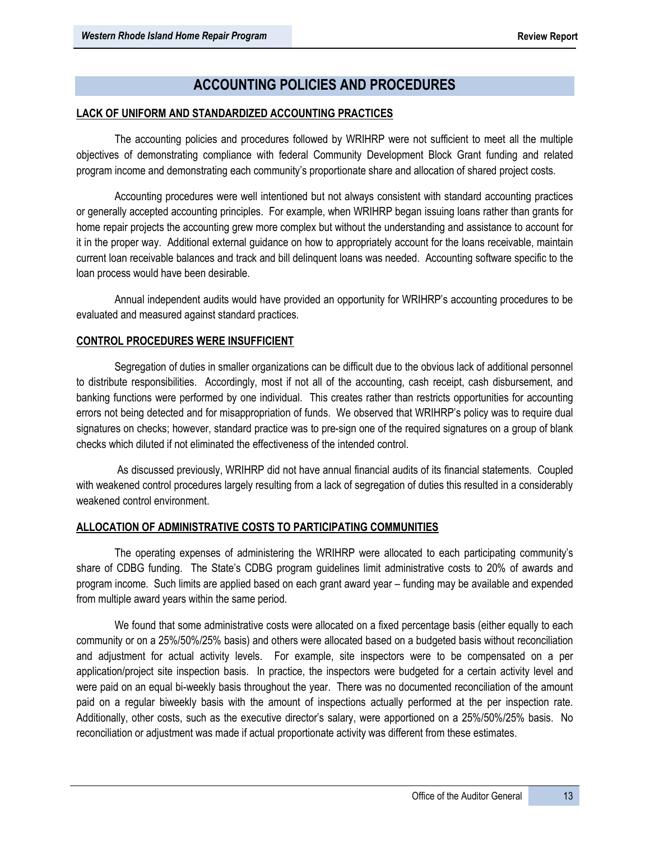# **ACCOUNTING POLICIES AND PROCEDURES**

# **LACK OF UNIFORM AND STANDARDIZED ACCOUNTING PRACTICES**

The accounting policies and procedures followed by WRIHRP were not sufficient to meet all the multiple objectives of demonstrating compliance with federal Community Development Block Grant funding and related program income and demonstrating each community's proportionate share and allocation of shared project costs.

Accounting procedures were well intentioned but not always consistent with standard accounting practices or generally accepted accounting principles. For example, when WRIHRP began issuing loans rather than grants for home repair projects the accounting grew more complex but without the understanding and assistance to account for it in the proper way. Additional external guidance on how to appropriately account for the loans receivable, maintain current loan receivable balances and track and bill delinquent loans was needed. Accounting software specific to the loan process would have been desirable.

Annual independent audits would have provided an opportunity for WRIHRP's accounting procedures to be evaluated and measured against standard practices.

# **CONTROL PROCEDURES WERE INSUFFICIENT**

Segregation of duties in smaller organizations can be difficult due to the obvious lack of additional personnel to distribute responsibilities. Accordingly, most if not all of the accounting, cash receipt, cash disbursement, and banking functions were performed by one individual. This creates rather than restricts opportunities for accounting errors not being detected and for misappropriation of funds. We observed that WRIHRP's policy was to require dual signatures on checks; however, standard practice was to pre-sign one of the required signatures on a group of blank checks which diluted if not eliminated the effectiveness of the intended control.

As discussed previously, WRIHRP did not have annual financial audits of its financial statements. Coupled with weakened control procedures largely resulting from a lack of segregation of duties this resulted in a considerably weakened control environment.

## **ALLOCATION OF ADMINISTRATIVE COSTS TO PARTICIPATING COMMUNITIES**

The operating expenses of administering the WRIHRP were allocated to each participating community's share of CDBG funding. The State's CDBG program guidelines limit administrative costs to 20% of awards and program income. Such limits are applied based on each grant award year – funding may be available and expended from multiple award years within the same period.

We found that some administrative costs were allocated on a fixed percentage basis (either equally to each community or on a 25%/50%/25% basis) and others were allocated based on a budgeted basis without reconciliation and adjustment for actual activity levels. For example, site inspectors were to be compensated on a per application/project site inspection basis. In practice, the inspectors were budgeted for a certain activity level and were paid on an equal bi-weekly basis throughout the year. There was no documented reconciliation of the amount paid on a regular biweekly basis with the amount of inspections actually performed at the per inspection rate. Additionally, other costs, such as the executive director's salary, were apportioned on a 25%/50%/25% basis. No reconciliation or adjustment was made if actual proportionate activity was different from these estimates.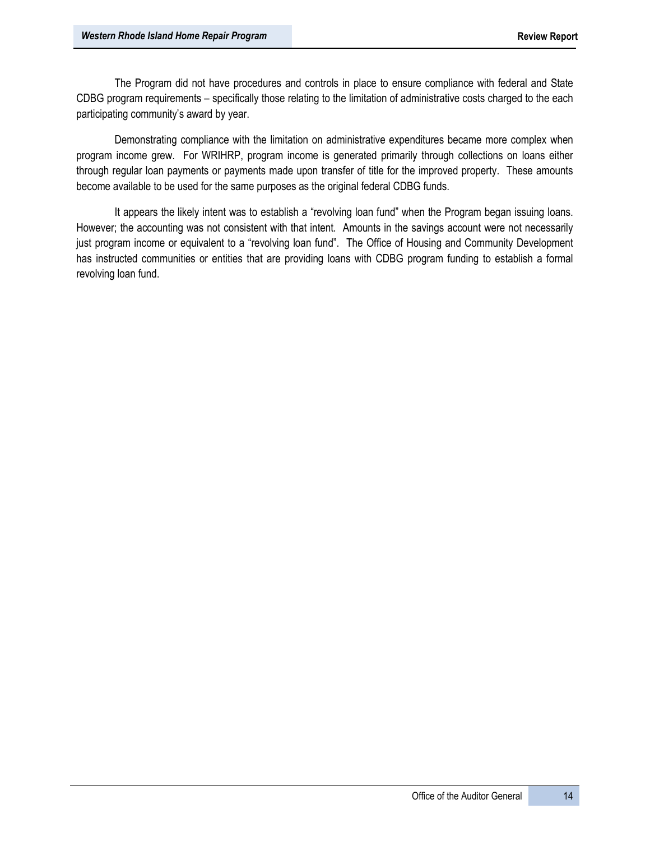The Program did not have procedures and controls in place to ensure compliance with federal and State CDBG program requirements – specifically those relating to the limitation of administrative costs charged to the each participating community's award by year.

Demonstrating compliance with the limitation on administrative expenditures became more complex when program income grew. For WRIHRP, program income is generated primarily through collections on loans either through regular loan payments or payments made upon transfer of title for the improved property. These amounts become available to be used for the same purposes as the original federal CDBG funds.

It appears the likely intent was to establish a "revolving loan fund" when the Program began issuing loans. However; the accounting was not consistent with that intent. Amounts in the savings account were not necessarily just program income or equivalent to a "revolving loan fund". The Office of Housing and Community Development has instructed communities or entities that are providing loans with CDBG program funding to establish a formal revolving loan fund.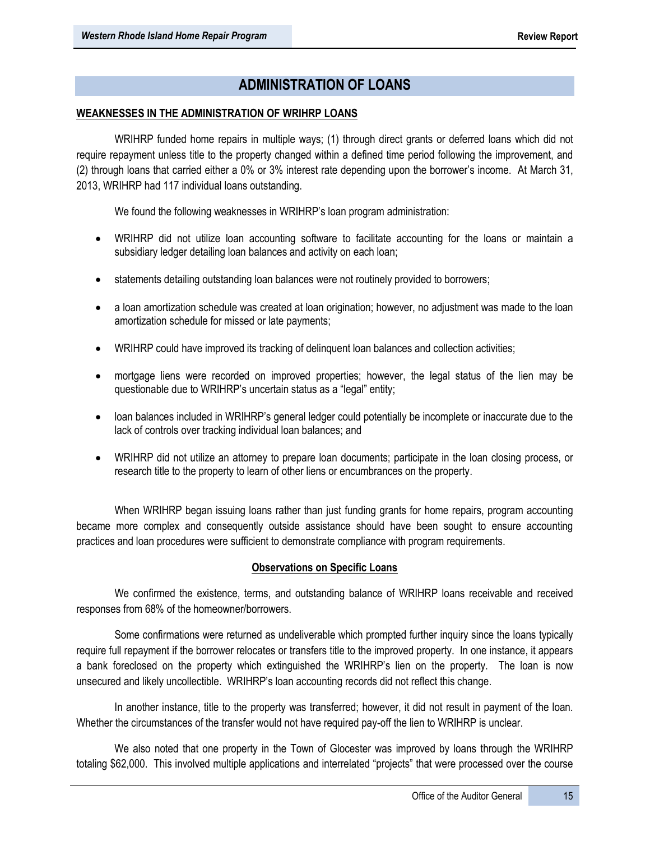# **ADMINISTRATION OF LOANS**

# **WEAKNESSES IN THE ADMINISTRATION OF WRIHRP LOANS**

WRIHRP funded home repairs in multiple ways; (1) through direct grants or deferred loans which did not require repayment unless title to the property changed within a defined time period following the improvement, and (2) through loans that carried either a 0% or 3% interest rate depending upon the borrower's income. At March 31, 2013, WRIHRP had 117 individual loans outstanding.

We found the following weaknesses in WRIHRP's loan program administration:

- WRIHRP did not utilize loan accounting software to facilitate accounting for the loans or maintain a subsidiary ledger detailing loan balances and activity on each loan;
- statements detailing outstanding loan balances were not routinely provided to borrowers;
- a loan amortization schedule was created at loan origination; however, no adjustment was made to the loan amortization schedule for missed or late payments;
- WRIHRP could have improved its tracking of delinquent loan balances and collection activities;
- mortgage liens were recorded on improved properties; however, the legal status of the lien may be questionable due to WRIHRP's uncertain status as a "legal" entity;
- loan balances included in WRIHRP's general ledger could potentially be incomplete or inaccurate due to the lack of controls over tracking individual loan balances; and
- WRIHRP did not utilize an attorney to prepare loan documents; participate in the loan closing process, or research title to the property to learn of other liens or encumbrances on the property.

When WRIHRP began issuing loans rather than just funding grants for home repairs, program accounting became more complex and consequently outside assistance should have been sought to ensure accounting practices and loan procedures were sufficient to demonstrate compliance with program requirements.

## **Observations on Specific Loans**

We confirmed the existence, terms, and outstanding balance of WRIHRP loans receivable and received responses from 68% of the homeowner/borrowers.

Some confirmations were returned as undeliverable which prompted further inquiry since the loans typically require full repayment if the borrower relocates or transfers title to the improved property. In one instance, it appears a bank foreclosed on the property which extinguished the WRIHRP's lien on the property. The loan is now unsecured and likely uncollectible. WRIHRP's loan accounting records did not reflect this change.

In another instance, title to the property was transferred; however, it did not result in payment of the loan. Whether the circumstances of the transfer would not have required pay-off the lien to WRIHRP is unclear.

We also noted that one property in the Town of Glocester was improved by loans through the WRIHRP totaling \$62,000. This involved multiple applications and interrelated "projects" that were processed over the course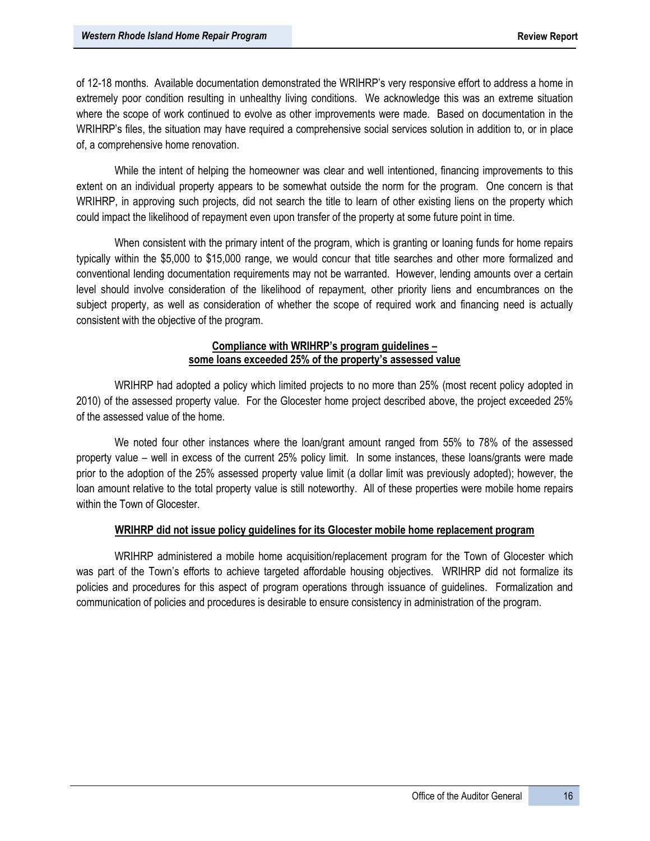of 12-18 months. Available documentation demonstrated the WRIHRP's very responsive effort to address a home in extremely poor condition resulting in unhealthy living conditions. We acknowledge this was an extreme situation where the scope of work continued to evolve as other improvements were made. Based on documentation in the WRIHRP's files, the situation may have required a comprehensive social services solution in addition to, or in place of, a comprehensive home renovation.

While the intent of helping the homeowner was clear and well intentioned, financing improvements to this extent on an individual property appears to be somewhat outside the norm for the program. One concern is that WRIHRP, in approving such projects, did not search the title to learn of other existing liens on the property which could impact the likelihood of repayment even upon transfer of the property at some future point in time.

When consistent with the primary intent of the program, which is granting or loaning funds for home repairs typically within the \$5,000 to \$15,000 range, we would concur that title searches and other more formalized and conventional lending documentation requirements may not be warranted. However, lending amounts over a certain level should involve consideration of the likelihood of repayment, other priority liens and encumbrances on the subject property, as well as consideration of whether the scope of required work and financing need is actually consistent with the objective of the program.

## **Compliance with WRIHRP's program guidelines – some loans exceeded 25% of the property's assessed value**

WRIHRP had adopted a policy which limited projects to no more than 25% (most recent policy adopted in 2010) of the assessed property value. For the Glocester home project described above, the project exceeded 25% of the assessed value of the home.

We noted four other instances where the loan/grant amount ranged from 55% to 78% of the assessed property value – well in excess of the current 25% policy limit. In some instances, these loans/grants were made prior to the adoption of the 25% assessed property value limit (a dollar limit was previously adopted); however, the loan amount relative to the total property value is still noteworthy. All of these properties were mobile home repairs within the Town of Glocester.

# **WRIHRP did not issue policy guidelines for its Glocester mobile home replacement program**

WRIHRP administered a mobile home acquisition/replacement program for the Town of Glocester which was part of the Town's efforts to achieve targeted affordable housing objectives. WRIHRP did not formalize its policies and procedures for this aspect of program operations through issuance of guidelines. Formalization and communication of policies and procedures is desirable to ensure consistency in administration of the program.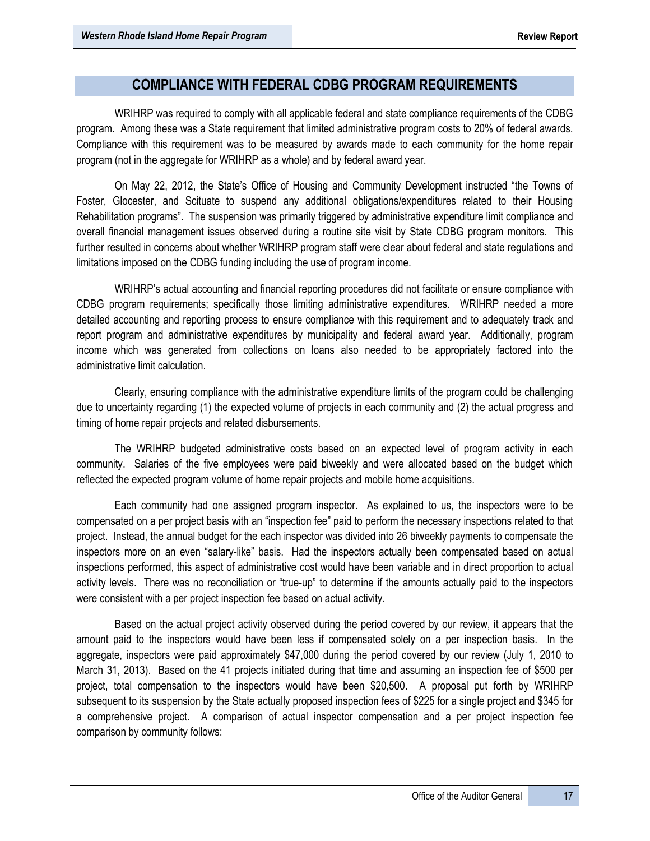# **COMPLIANCE WITH FEDERAL CDBG PROGRAM REQUIREMENTS**

WRIHRP was required to comply with all applicable federal and state compliance requirements of the CDBG program. Among these was a State requirement that limited administrative program costs to 20% of federal awards. Compliance with this requirement was to be measured by awards made to each community for the home repair program (not in the aggregate for WRIHRP as a whole) and by federal award year.

On May 22, 2012, the State's Office of Housing and Community Development instructed "the Towns of Foster, Glocester, and Scituate to suspend any additional obligations/expenditures related to their Housing Rehabilitation programs". The suspension was primarily triggered by administrative expenditure limit compliance and overall financial management issues observed during a routine site visit by State CDBG program monitors. This further resulted in concerns about whether WRIHRP program staff were clear about federal and state regulations and limitations imposed on the CDBG funding including the use of program income.

WRIHRP's actual accounting and financial reporting procedures did not facilitate or ensure compliance with CDBG program requirements; specifically those limiting administrative expenditures. WRIHRP needed a more detailed accounting and reporting process to ensure compliance with this requirement and to adequately track and report program and administrative expenditures by municipality and federal award year. Additionally, program income which was generated from collections on loans also needed to be appropriately factored into the administrative limit calculation.

 Clearly, ensuring compliance with the administrative expenditure limits of the program could be challenging due to uncertainty regarding (1) the expected volume of projects in each community and (2) the actual progress and timing of home repair projects and related disbursements.

The WRIHRP budgeted administrative costs based on an expected level of program activity in each community. Salaries of the five employees were paid biweekly and were allocated based on the budget which reflected the expected program volume of home repair projects and mobile home acquisitions.

Each community had one assigned program inspector. As explained to us, the inspectors were to be compensated on a per project basis with an "inspection fee" paid to perform the necessary inspections related to that project. Instead, the annual budget for the each inspector was divided into 26 biweekly payments to compensate the inspectors more on an even "salary-like" basis. Had the inspectors actually been compensated based on actual inspections performed, this aspect of administrative cost would have been variable and in direct proportion to actual activity levels. There was no reconciliation or "true-up" to determine if the amounts actually paid to the inspectors were consistent with a per project inspection fee based on actual activity.

Based on the actual project activity observed during the period covered by our review, it appears that the amount paid to the inspectors would have been less if compensated solely on a per inspection basis. In the aggregate, inspectors were paid approximately \$47,000 during the period covered by our review (July 1, 2010 to March 31, 2013). Based on the 41 projects initiated during that time and assuming an inspection fee of \$500 per project, total compensation to the inspectors would have been \$20,500. A proposal put forth by WRIHRP subsequent to its suspension by the State actually proposed inspection fees of \$225 for a single project and \$345 for a comprehensive project. A comparison of actual inspector compensation and a per project inspection fee comparison by community follows: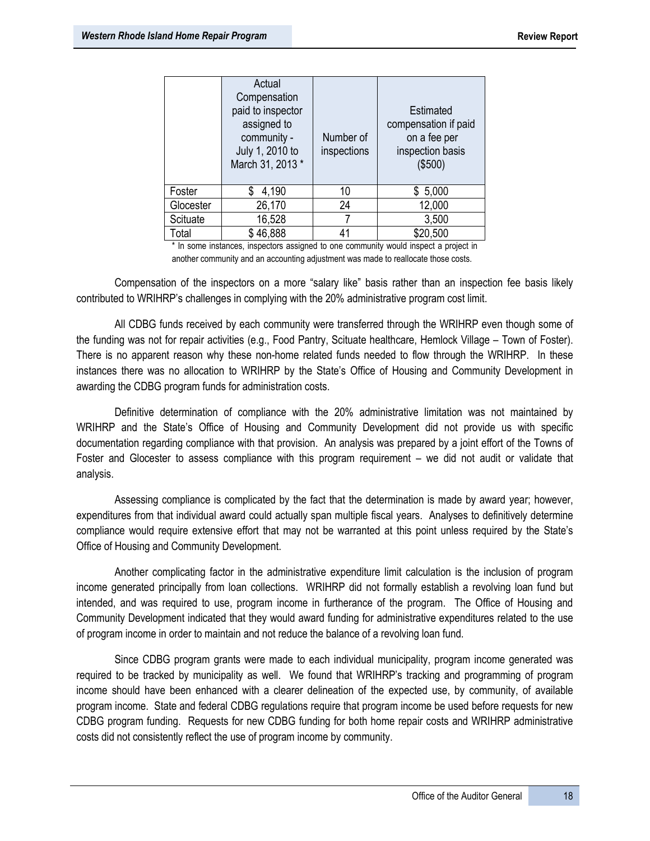|           | Actual<br>Compensation<br>paid to inspector<br>assigned to<br>community -<br>July 1, 2010 to<br>March 31, 2013 * | Number of<br>inspections | Estimated<br>compensation if paid<br>on a fee per<br>inspection basis<br>(\$500) |
|-----------|------------------------------------------------------------------------------------------------------------------|--------------------------|----------------------------------------------------------------------------------|
| Foster    | 4,190                                                                                                            | 10                       | \$5,000                                                                          |
| Glocester | 26,170                                                                                                           | 24                       | 12,000                                                                           |
| Scituate  | 16,528                                                                                                           |                          | 3,500                                                                            |
| Total     | 46,888                                                                                                           | 41                       | \$20,500                                                                         |

\* In some instances, inspectors assigned to one community would inspect a project in another community and an accounting adjustment was made to reallocate those costs.

Compensation of the inspectors on a more "salary like" basis rather than an inspection fee basis likely contributed to WRIHRP's challenges in complying with the 20% administrative program cost limit.

All CDBG funds received by each community were transferred through the WRIHRP even though some of the funding was not for repair activities (e.g., Food Pantry, Scituate healthcare, Hemlock Village – Town of Foster). There is no apparent reason why these non-home related funds needed to flow through the WRIHRP. In these instances there was no allocation to WRIHRP by the State's Office of Housing and Community Development in awarding the CDBG program funds for administration costs.

Definitive determination of compliance with the 20% administrative limitation was not maintained by WRIHRP and the State's Office of Housing and Community Development did not provide us with specific documentation regarding compliance with that provision. An analysis was prepared by a joint effort of the Towns of Foster and Glocester to assess compliance with this program requirement – we did not audit or validate that analysis.

Assessing compliance is complicated by the fact that the determination is made by award year; however, expenditures from that individual award could actually span multiple fiscal years. Analyses to definitively determine compliance would require extensive effort that may not be warranted at this point unless required by the State's Office of Housing and Community Development.

Another complicating factor in the administrative expenditure limit calculation is the inclusion of program income generated principally from loan collections. WRIHRP did not formally establish a revolving loan fund but intended, and was required to use, program income in furtherance of the program. The Office of Housing and Community Development indicated that they would award funding for administrative expenditures related to the use of program income in order to maintain and not reduce the balance of a revolving loan fund.

Since CDBG program grants were made to each individual municipality, program income generated was required to be tracked by municipality as well. We found that WRIHRP's tracking and programming of program income should have been enhanced with a clearer delineation of the expected use, by community, of available program income. State and federal CDBG regulations require that program income be used before requests for new CDBG program funding. Requests for new CDBG funding for both home repair costs and WRIHRP administrative costs did not consistently reflect the use of program income by community.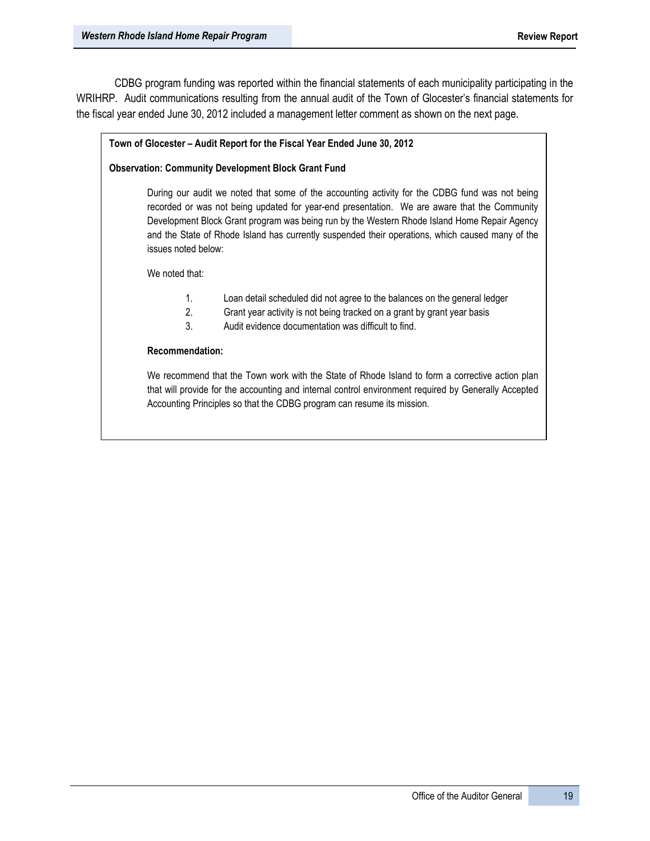CDBG program funding was reported within the financial statements of each municipality participating in the WRIHRP. Audit communications resulting from the annual audit of the Town of Glocester's financial statements for the fiscal year ended June 30, 2012 included a management letter comment as shown on the next page.

#### **Town of Glocester – Audit Report for the Fiscal Year Ended June 30, 2012**

#### **Observation: Community Development Block Grant Fund**

During our audit we noted that some of the accounting activity for the CDBG fund was not being recorded or was not being updated for year-end presentation. We are aware that the Community Development Block Grant program was being run by the Western Rhode Island Home Repair Agency and the State of Rhode Island has currently suspended their operations, which caused many of the issues noted below:

We noted that:

- 1. Loan detail scheduled did not agree to the balances on the general ledger
- 2. Grant year activity is not being tracked on a grant by grant year basis
- 3. Audit evidence documentation was difficult to find.

#### **Recommendation:**

We recommend that the Town work with the State of Rhode Island to form a corrective action plan that will provide for the accounting and internal control environment required by Generally Accepted Accounting Principles so that the CDBG program can resume its mission.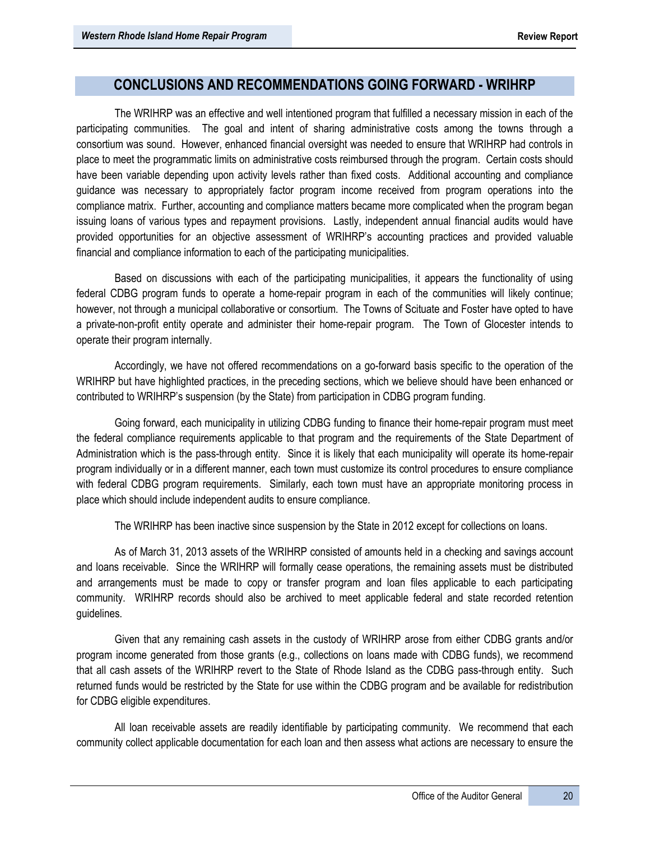# **CONCLUSIONS AND RECOMMENDATIONS GOING FORWARD - WRIHRP**

The WRIHRP was an effective and well intentioned program that fulfilled a necessary mission in each of the participating communities. The goal and intent of sharing administrative costs among the towns through a consortium was sound. However, enhanced financial oversight was needed to ensure that WRIHRP had controls in place to meet the programmatic limits on administrative costs reimbursed through the program. Certain costs should have been variable depending upon activity levels rather than fixed costs. Additional accounting and compliance guidance was necessary to appropriately factor program income received from program operations into the compliance matrix. Further, accounting and compliance matters became more complicated when the program began issuing loans of various types and repayment provisions. Lastly, independent annual financial audits would have provided opportunities for an objective assessment of WRIHRP's accounting practices and provided valuable financial and compliance information to each of the participating municipalities.

Based on discussions with each of the participating municipalities, it appears the functionality of using federal CDBG program funds to operate a home-repair program in each of the communities will likely continue; however, not through a municipal collaborative or consortium. The Towns of Scituate and Foster have opted to have a private-non-profit entity operate and administer their home-repair program. The Town of Glocester intends to operate their program internally.

Accordingly, we have not offered recommendations on a go-forward basis specific to the operation of the WRIHRP but have highlighted practices, in the preceding sections, which we believe should have been enhanced or contributed to WRIHRP's suspension (by the State) from participation in CDBG program funding.

Going forward, each municipality in utilizing CDBG funding to finance their home-repair program must meet the federal compliance requirements applicable to that program and the requirements of the State Department of Administration which is the pass-through entity. Since it is likely that each municipality will operate its home-repair program individually or in a different manner, each town must customize its control procedures to ensure compliance with federal CDBG program requirements. Similarly, each town must have an appropriate monitoring process in place which should include independent audits to ensure compliance.

The WRIHRP has been inactive since suspension by the State in 2012 except for collections on loans.

As of March 31, 2013 assets of the WRIHRP consisted of amounts held in a checking and savings account and loans receivable. Since the WRIHRP will formally cease operations, the remaining assets must be distributed and arrangements must be made to copy or transfer program and loan files applicable to each participating community. WRIHRP records should also be archived to meet applicable federal and state recorded retention guidelines.

Given that any remaining cash assets in the custody of WRIHRP arose from either CDBG grants and/or program income generated from those grants (e.g., collections on loans made with CDBG funds), we recommend that all cash assets of the WRIHRP revert to the State of Rhode Island as the CDBG pass-through entity. Such returned funds would be restricted by the State for use within the CDBG program and be available for redistribution for CDBG eligible expenditures.

All loan receivable assets are readily identifiable by participating community. We recommend that each community collect applicable documentation for each loan and then assess what actions are necessary to ensure the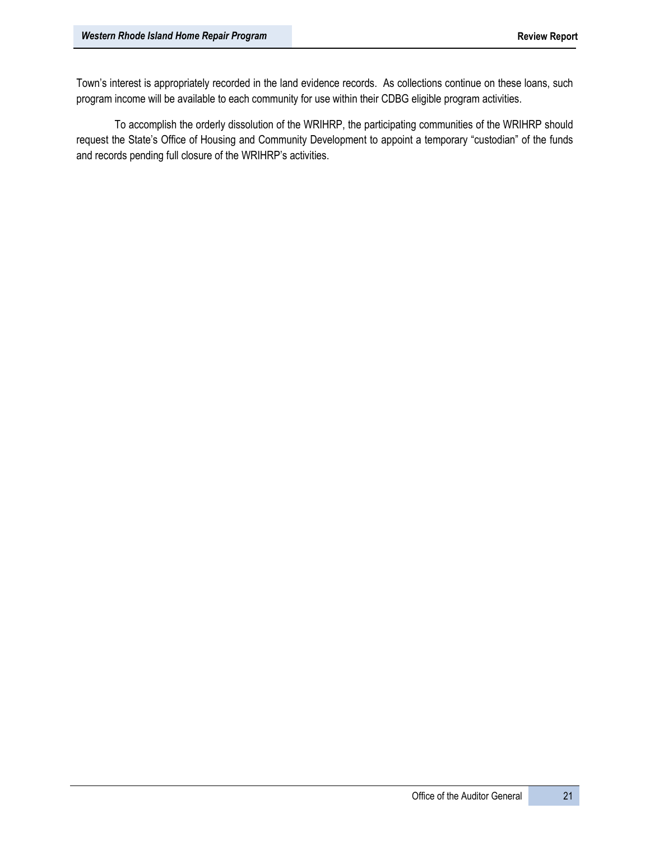Town's interest is appropriately recorded in the land evidence records. As collections continue on these loans, such program income will be available to each community for use within their CDBG eligible program activities.

To accomplish the orderly dissolution of the WRIHRP, the participating communities of the WRIHRP should request the State's Office of Housing and Community Development to appoint a temporary "custodian" of the funds and records pending full closure of the WRIHRP's activities.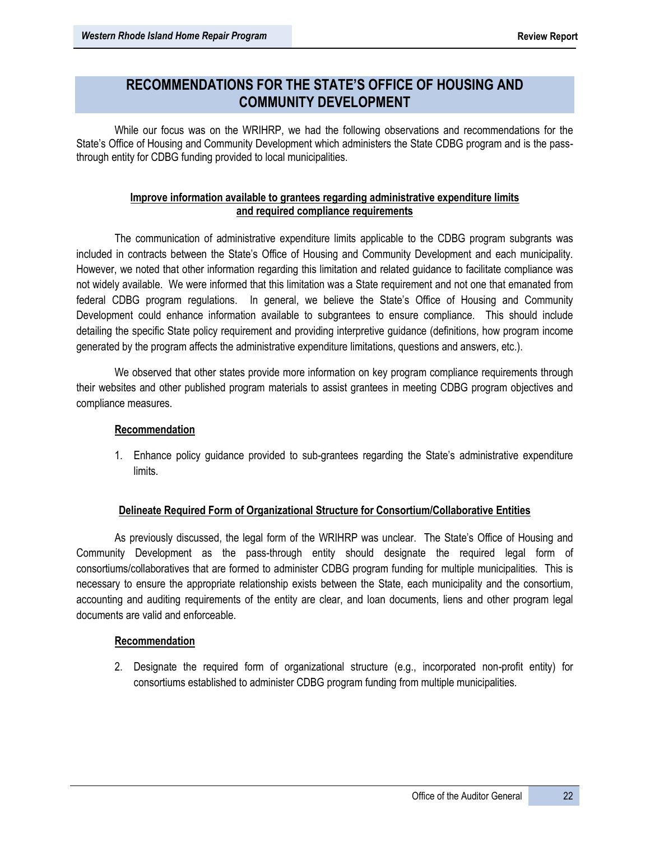# **RECOMMENDATIONS FOR THE STATE'S OFFICE OF HOUSING AND COMMUNITY DEVELOPMENT**

While our focus was on the WRIHRP, we had the following observations and recommendations for the State's Office of Housing and Community Development which administers the State CDBG program and is the passthrough entity for CDBG funding provided to local municipalities.

# **Improve information available to grantees regarding administrative expenditure limits and required compliance requirements**

The communication of administrative expenditure limits applicable to the CDBG program subgrants was included in contracts between the State's Office of Housing and Community Development and each municipality. However, we noted that other information regarding this limitation and related guidance to facilitate compliance was not widely available. We were informed that this limitation was a State requirement and not one that emanated from federal CDBG program regulations. In general, we believe the State's Office of Housing and Community Development could enhance information available to subgrantees to ensure compliance. This should include detailing the specific State policy requirement and providing interpretive guidance (definitions, how program income generated by the program affects the administrative expenditure limitations, questions and answers, etc.).

We observed that other states provide more information on key program compliance requirements through their websites and other published program materials to assist grantees in meeting CDBG program objectives and compliance measures.

# **Recommendation**

1. Enhance policy guidance provided to sub-grantees regarding the State's administrative expenditure limits.

# **Delineate Required Form of Organizational Structure for Consortium/Collaborative Entities**

As previously discussed, the legal form of the WRIHRP was unclear. The State's Office of Housing and Community Development as the pass-through entity should designate the required legal form of consortiums/collaboratives that are formed to administer CDBG program funding for multiple municipalities. This is necessary to ensure the appropriate relationship exists between the State, each municipality and the consortium, accounting and auditing requirements of the entity are clear, and loan documents, liens and other program legal documents are valid and enforceable.

## **Recommendation**

2. Designate the required form of organizational structure (e.g., incorporated non-profit entity) for consortiums established to administer CDBG program funding from multiple municipalities.